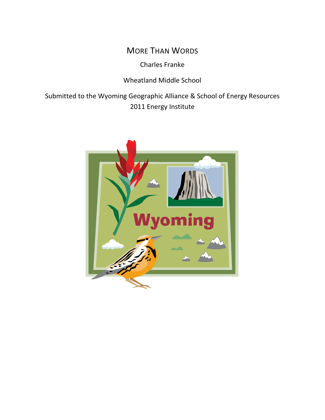# MORE THAN WORDS

Charles Franke

Wheatland Middle School

Submitted to the Wyoming Geographic Alliance & School of Energy Resources 2011 Energy Institute

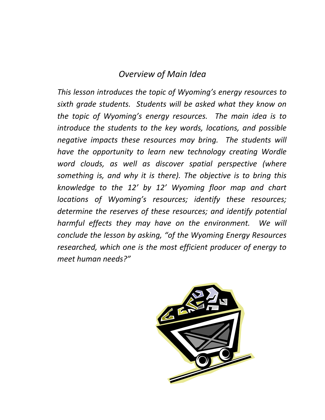# *Overview of Main Idea*

*This lesson introduces the topic of Wyoming's energy resources to sixth grade students. Students will be asked what they know on the topic of Wyoming's energy resources. The main idea is to introduce the students to the key words, locations, and possible negative impacts these resources may bring. The students will have the opportunity to learn new technology creating Wordle word clouds, as well as discover spatial perspective (where something is, and why it is there). The objective is to bring this knowledge to the 12' by 12' Wyoming floor map and chart locations of Wyoming's resources; identify these resources; determine the reserves of these resources; and identify potential harmful effects they may have on the environment. We will conclude the lesson by asking, "of the Wyoming Energy Resources researched, which one is the most efficient producer of energy to meet human needs?"* 

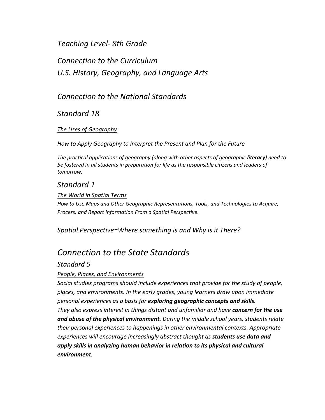# *Teaching Level- 8th Grade*

*Connection to the Curriculum U.S. History, Geography, and Language Arts*

## *Connection to the National Standards*

 *Standard 18*

## *The Uses of Geography*

*How to Apply Geography to Interpret the Present and Plan for the Future*

*The practical applications of geography (along with other aspects of geographic literacy) need to be fostered in all students in preparation for life as the responsible citizens and leaders of tomorrow.*

## *Standard 1*

## *The World in Spatial Terms*

*How to Use Maps and Other Geographic Representations, Tools, and Technologies to Acquire, Process, and Report Information From a Spatial Perspective.*

*Spatial Perspective=Where something is and Why is it There?*

# *Connection to the State Standards*

## *Standard 5*

## *People, Places, and Environments*

*Social studies programs should include experiences that provide for the study of people, places, and environments. In the early grades, young learners draw upon immediate personal experiences as a basis for exploring geographic concepts and skills. They also express interest in things distant and unfamiliar and have concern for the use and abuse of the physical environment. During the middle school years, students relate their personal experiences to happenings in other environmental contexts. Appropriate experiences will encourage increasingly abstract thought as students use data and apply skills in analyzing human behavior in relation to its physical and cultural environment.*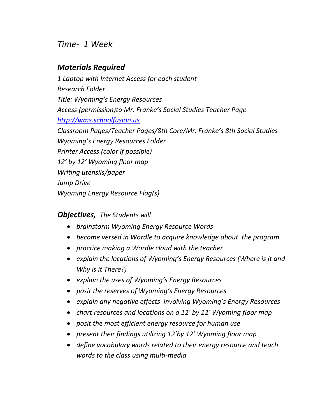# *Time- 1 Week*

# *Materials Required*

*1 Laptop with Internet Access for each student Research Folder Title: Wyoming's Energy Resources Access (permission)to Mr. Franke's Social Studies Teacher Page [http://wms.schoolfusion.us](http://wms.schoolfusion.us/) Classroom Pages/Teacher Pages/8th Core/Mr. Franke's 8th Social Studies Wyoming's Energy Resources Folder Printer Access (color if possible) 12' by 12' Wyoming floor map Writing utensils/paper Jump Drive Wyoming Energy Resource Flag(s)*

## *Objectives, The Students will*

- *brainstorm Wyoming Energy Resource Words*
- *become versed in Wordle to acquire knowledge about the program*
- *practice making a Wordle cloud with the teacher*
- *explain the locations of Wyoming's Energy Resources (Where is it and Why is it There?)*
- *explain the uses of Wyoming's Energy Resources*
- *posit the reserves of Wyoming's Energy Resources*
- *explain any negative effects involving Wyoming's Energy Resources*
- *chart resources and locations on a 12' by 12' Wyoming floor map*
- *posit the most efficient energy resource for human use*
- *present their findings utilizing 12'by 12' Wyoming floor map*
- *define vocabulary words related to their energy resource and teach words to the class using multi-media*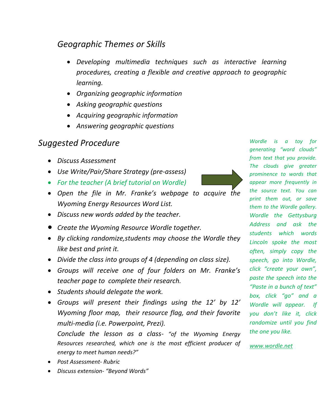# *Geographic Themes or Skills*

- *Developing multimedia techniques such as interactive learning procedures, creating a flexible and creative approach to geographic learning.*
- *Organizing geographic information*
- *Asking geographic questions*
- *Acquiring geographic information*
- *Answering geographic questions*

# *Suggested Procedure*

- *Discuss Assessment*
- *Use Write/Pair/Share Strategy (pre-assess)*
- *For the teacher (A brief tutorial on Wordle)*
- 
- *Open the file in Mr. Franke's webpage to acquire the Wyoming Energy Resources Word List.*
- *Discuss new words added by the teacher.*
- *Create the Wyoming Resource Wordle together.*
- *By clicking randomize,students may choose the Wordle they like best and print it.*
- *Divide the class into groups of 4 (depending on class size).*
- *Groups will receive one of four folders on Mr. Franke's teacher page to complete their research.*
- *Students should delegate the work.*
- *Groups will present their findings using the 12' by 12' Wyoming floor map, their resource flag, and their favorite multi-media (i.e. Powerpoint, Prezi).*

*Conclude the lesson as a class- "of the Wyoming Energy Resources researched, which one is the most efficient producer of energy to meet human needs?"* 

- *Post Assessment- Rubric*
- *Discuss extension- "Beyond Words"*

*generating "word clouds" from text that you provide. The clouds give greater prominence to words that appear more frequently in the source text. You can print them out, or save them to the Wordle gallery. Wordle the Gettysburg Address and ask the students which words Lincoln spoke the most often, simply copy the speech, go into Wordle, click "create your own", paste the speech into the "Paste in a bunch of text" box, click "go" and a Wordle will appear. If you don't like it, click randomize until you find the one you like.* 

*Wordle is a toy for* 

*[www.wordle.net](http://www.wordle.net/)*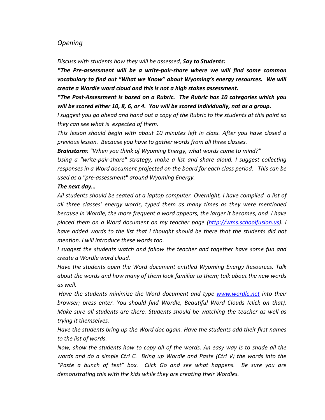## *Opening*

*Discuss with students how they will be assessed, Say to Students:*

*\*The Pre-assessment will be a write-pair-share where we will find some common vocabulary to find out "What we Know" about Wyoming's energy resources. We will create a Wordle word cloud and this is not a high stakes assessment.*

*\*The Post-Assessment is based on a Rubric. The Rubric has 10 categories which you will be scored either 10, 8, 6, or 4. You will be scored individually, not as a group.* 

*I suggest you go ahead and hand out a copy of the Rubric to the students at this point so they can see what is expected of them.* 

*This lesson should begin with about 10 minutes left in class. After you have closed a previous lesson. Because you have to gather words from all three classes.*

*Brainstorm: "When you think of Wyoming Energy, what words come to mind?"* 

*Using a "write-pair-share" strategy, make a list and share aloud. I suggest collecting responses in a Word document projected on the board for each class period. This can be used as a "pre-assessment" around Wyoming Energy.* 

### *The next day…*

*All students should be seated at a laptop computer. Overnight, I have compiled a list of all three classes' energy words, typed them as many times as they were mentioned because in Wordle, the more frequent a word appears, the larger it becomes, and I have placed them on a Word document on my teacher page [\(http://wms.schoolfusion.us\)](http://wms.schoolfusion.us/). I have added words to the list that I thought should be there that the students did not mention. I will introduce these words too.*

*I suggest the students watch and follow the teacher and together have some fun and create a Wordle word cloud.* 

*Have the students open the Word document entitled Wyoming Energy Resources. Talk about the words and how many of them look familiar to them; talk about the new words as well.*

*Have the students minimize the Word document and type [www.wordle.net](http://www.wordle.net/) into their browser; press enter. You should find Wordle, Beautiful Word Clouds (click on that). Make sure all students are there. Students should be watching the teacher as well as trying it themselves.* 

*Have the students bring up the Word doc again. Have the students add their first names to the list of words.* 

*Now, show the students how to copy all of the words. An easy way is to shade all the words and do a simple Ctrl C. Bring up Wordle and Paste (Ctrl V) the words into the "Paste a bunch of text" box. Click Go and see what happens. Be sure you are demonstrating this with the kids while they are creating their Wordles.*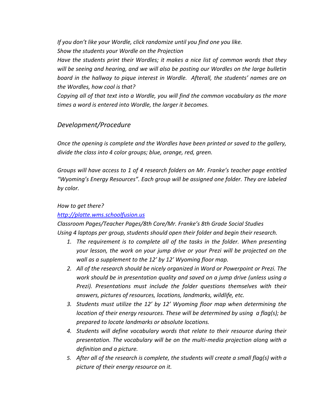*If you don't like your Wordle, click randomize until you find one you like.* 

*Show the students your Wordle on the Projection*

*Have the students print their Wordles; it makes a nice list of common words that they will be seeing and hearing, and we will also be posting our Wordles on the large bulletin board in the hallway to pique interest in Wordle. Afterall, the students' names are on the Wordles, how cool is that?*

*Copying all of that text into a Wordle, you will find the common vocabulary as the more times a word is entered into Wordle, the larger it becomes.*

## *Development/Procedure*

*Once the opening is complete and the Wordles have been printed or saved to the gallery, divide the class into 4 color groups; blue, orange, red, green.*

*Groups will have access to 1 of 4 research folders on Mr. Franke's teacher page entitled "Wyoming's Energy Resources". Each group will be assigned one folder. They are labeled by color.*

## *How to get there?*

## *[http://platte.wms.schoolfusion.us](http://platte.wms.schoolfusion.us/)*

*Classroom Pages/Teacher Pages/8th Core/Mr. Franke's 8th Grade Social Studies Using 4 laptops per group, students should open their folder and begin their research.*

- *1. The requirement is to complete all of the tasks in the folder. When presenting your lesson, the work on your jump drive or your Prezi will be projected on the wall as a supplement to the 12' by 12' Wyoming floor map.*
- *2. All of the research should be nicely organized in Word or Powerpoint or Prezi. The work should be in presentation quality and saved on a jump drive (unless using a Prezi). Presentations must include the folder questions themselves with their answers, pictures of resources, locations, landmarks, wildlife, etc.*
- *3. Students must utilize the 12' by 12' Wyoming floor map when determining the location of their energy resources. These will be determined by using a flag(s); be prepared to locate landmarks or absolute locations.*
- *4. Students will define vocabulary words that relate to their resource during their presentation. The vocabulary will be on the multi-media projection along with a definition and a picture.*
- *5. After all of the research is complete, the students will create a small flag(s) with a picture of their energy resource on it.*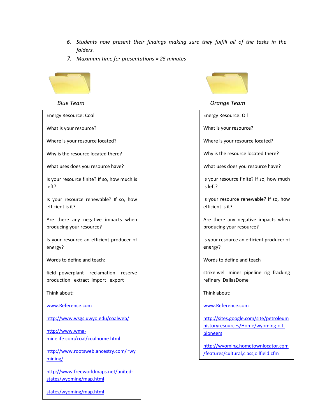- *6. Students now present their findings making sure they fulfill all of the tasks in the folders.*
- *7. Maximum time for presentations = 25 minutes*



| <b>Energy Resource: Coal</b>                                             |  |  |  |  |
|--------------------------------------------------------------------------|--|--|--|--|
| What is your resource?                                                   |  |  |  |  |
| Where is your resource located?                                          |  |  |  |  |
| Why is the resource located there?                                       |  |  |  |  |
| What uses does you resource have?                                        |  |  |  |  |
| Is your resource finite? If so, how much is<br>left?                     |  |  |  |  |
| Is your resource renewable? If so, how<br>efficient is it?               |  |  |  |  |
| Are there any negative impacts when<br>producing your resource?          |  |  |  |  |
| Is your resource an efficient producer of<br>energy?                     |  |  |  |  |
| Words to define and teach:                                               |  |  |  |  |
| field powerplant reclamation reserve<br>production extract import export |  |  |  |  |
| Think about:                                                             |  |  |  |  |
| www.Reference.com                                                        |  |  |  |  |
| http://www.wsgs.uwyo.edu/coalweb/                                        |  |  |  |  |
| http://www.wma-<br>minelife.com/coal/coalhome.html                       |  |  |  |  |
| http://www.rootsweb.ancestry.com/~wy<br>mining/                          |  |  |  |  |
| http://www.freeworldmaps.net/united-<br>states/wyoming/map.html          |  |  |  |  |
|                                                                          |  |  |  |  |



*Blue Team Orange Team*

Energy Resource: Oil

What is your resource?

Where is your resource located?

Why is the resource located there?

What uses does you resource have?

Is your resource finite? If so, how much is left?

Is your resource renewable? If so, how efficient is it?

Are there any negative impacts when producing your resource?

Is your resource an efficient producer of energy?

Words to define and teach

strike well miner pipeline rig fracking refinery DallasDome

Think about:

[www.Reference.com](http://www.reference.com/)

[http://sites.google.com/site/petroleum](http://sites.google.com/site/petroleumhistoryresources/Home/wyoming-oil-pioneers) [historyresources/Home/wyoming-oil](http://sites.google.com/site/petroleumhistoryresources/Home/wyoming-oil-pioneers)[pioneers](http://sites.google.com/site/petroleumhistoryresources/Home/wyoming-oil-pioneers)

[http://wyoming.hometownlocator.com](http://wyoming.hometownlocator.com/features/cultural,class,oilfield.cfm) [/features/cultural,class,oilfield.cfm](http://wyoming.hometownlocator.com/features/cultural,class,oilfield.cfm)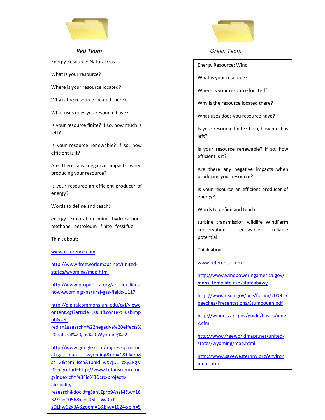

Energy Resource: Natural Gas

What is your resource?

Where is your resource located?

Why is the resource located there?

What uses does you resource have?

Is your resource finite? If so, how much is left?

Is your resource renewable? If so, how efficient is it?

Are there any negative impacts when producing your resource?

Is your resource an efficient producer of energy?

Words to define and teach:

energy exploration mine hydrocarbons methane petroleum finite fossilfuel

Think about:

[www.reference.com](http://www.reference.com/)

[http://www.freeworldmaps.net/united](http://www.freeworldmaps.net/united-states/wyoming/map.html)[states/wyoming/map.html](http://www.freeworldmaps.net/united-states/wyoming/map.html)

[http://www.propublica.org/article/slides](http://www.propublica.org/article/slideshow-wyomings-natural-gas-fields-1117) [how-wyomings-natural-gas-fields-1117](http://www.propublica.org/article/slideshow-wyomings-natural-gas-fields-1117)

[http://digitalcommons.unl.edu/cgi/viewc](http://digitalcommons.unl.edu/cgi/viewcontent.cgi?article=1004&context=usblmpub&sei-redir=1#search=%22negative%20effects%20natural%20gas%20Wyoming%22) [ontent.cgi?article=1004&context=usblmp](http://digitalcommons.unl.edu/cgi/viewcontent.cgi?article=1004&context=usblmpub&sei-redir=1#search=%22negative%20effects%20natural%20gas%20Wyoming%22) [ub&sei-](http://digitalcommons.unl.edu/cgi/viewcontent.cgi?article=1004&context=usblmpub&sei-redir=1#search=%22negative%20effects%20natural%20gas%20Wyoming%22)

[redir=1#search=%22negative%20effects%](http://digitalcommons.unl.edu/cgi/viewcontent.cgi?article=1004&context=usblmpub&sei-redir=1#search=%22negative%20effects%20natural%20gas%20Wyoming%22) [20natural%20gas%20Wyoming%22](http://digitalcommons.unl.edu/cgi/viewcontent.cgi?article=1004&context=usblmpub&sei-redir=1#search=%22negative%20effects%20natural%20gas%20Wyoming%22)

[http://www.google.com/imgres?q=natur](http://www.google.com/imgres?q=natural+gas+map+of+wyoming&um=1&hl=en&sa=G&tbm=isch&tbnid=wX7jD1_c8y2PgM:&imgrefurl=http://www.tetonscience.org/index.cfm%3Fid%3Dcrc-projects-airquality-research&docid=gSanLZprp9AasM&w=1632&h=1056&ei=c05tTsWaCcP-sQLhw62xBA&zoom=1&biw=1024&bih=562&iact=rc&dur=390&page=1&tbnh=122) [al+gas+map+of+wyoming&um=1&hl=en&](http://www.google.com/imgres?q=natural+gas+map+of+wyoming&um=1&hl=en&sa=G&tbm=isch&tbnid=wX7jD1_c8y2PgM:&imgrefurl=http://www.tetonscience.org/index.cfm%3Fid%3Dcrc-projects-airquality-research&docid=gSanLZprp9AasM&w=1632&h=1056&ei=c05tTsWaCcP-sQLhw62xBA&zoom=1&biw=1024&bih=562&iact=rc&dur=390&page=1&tbnh=122) [sa=G&tbm=isch&tbnid=wX7jD1\\_c8y2PgM](http://www.google.com/imgres?q=natural+gas+map+of+wyoming&um=1&hl=en&sa=G&tbm=isch&tbnid=wX7jD1_c8y2PgM:&imgrefurl=http://www.tetonscience.org/index.cfm%3Fid%3Dcrc-projects-airquality-research&docid=gSanLZprp9AasM&w=1632&h=1056&ei=c05tTsWaCcP-sQLhw62xBA&zoom=1&biw=1024&bih=562&iact=rc&dur=390&page=1&tbnh=122) [:&imgrefurl=http://www.tetonscience.or](http://www.google.com/imgres?q=natural+gas+map+of+wyoming&um=1&hl=en&sa=G&tbm=isch&tbnid=wX7jD1_c8y2PgM:&imgrefurl=http://www.tetonscience.org/index.cfm%3Fid%3Dcrc-projects-airquality-research&docid=gSanLZprp9AasM&w=1632&h=1056&ei=c05tTsWaCcP-sQLhw62xBA&zoom=1&biw=1024&bih=562&iact=rc&dur=390&page=1&tbnh=122) [g/index.cfm%3Fid%3Dcrc-projects](http://www.google.com/imgres?q=natural+gas+map+of+wyoming&um=1&hl=en&sa=G&tbm=isch&tbnid=wX7jD1_c8y2PgM:&imgrefurl=http://www.tetonscience.org/index.cfm%3Fid%3Dcrc-projects-airquality-research&docid=gSanLZprp9AasM&w=1632&h=1056&ei=c05tTsWaCcP-sQLhw62xBA&zoom=1&biw=1024&bih=562&iact=rc&dur=390&page=1&tbnh=122)[airquality](http://www.google.com/imgres?q=natural+gas+map+of+wyoming&um=1&hl=en&sa=G&tbm=isch&tbnid=wX7jD1_c8y2PgM:&imgrefurl=http://www.tetonscience.org/index.cfm%3Fid%3Dcrc-projects-airquality-research&docid=gSanLZprp9AasM&w=1632&h=1056&ei=c05tTsWaCcP-sQLhw62xBA&zoom=1&biw=1024&bih=562&iact=rc&dur=390&page=1&tbnh=122)[research&docid=gSanLZprp9AasM&w=16](http://www.google.com/imgres?q=natural+gas+map+of+wyoming&um=1&hl=en&sa=G&tbm=isch&tbnid=wX7jD1_c8y2PgM:&imgrefurl=http://www.tetonscience.org/index.cfm%3Fid%3Dcrc-projects-airquality-research&docid=gSanLZprp9AasM&w=1632&h=1056&ei=c05tTsWaCcP-sQLhw62xBA&zoom=1&biw=1024&bih=562&iact=rc&dur=390&page=1&tbnh=122) [32&h=1056&ei=c05tTsWaCcP](http://www.google.com/imgres?q=natural+gas+map+of+wyoming&um=1&hl=en&sa=G&tbm=isch&tbnid=wX7jD1_c8y2PgM:&imgrefurl=http://www.tetonscience.org/index.cfm%3Fid%3Dcrc-projects-airquality-research&docid=gSanLZprp9AasM&w=1632&h=1056&ei=c05tTsWaCcP-sQLhw62xBA&zoom=1&biw=1024&bih=562&iact=rc&dur=390&page=1&tbnh=122)[sQLhw62xBA&zoom=1&biw=1024&bih=5](http://www.google.com/imgres?q=natural+gas+map+of+wyoming&um=1&hl=en&sa=G&tbm=isch&tbnid=wX7jD1_c8y2PgM:&imgrefurl=http://www.tetonscience.org/index.cfm%3Fid%3Dcrc-projects-airquality-research&docid=gSanLZprp9AasM&w=1632&h=1056&ei=c05tTsWaCcP-sQLhw62xBA&zoom=1&biw=1024&bih=562&iact=rc&dur=390&page=1&tbnh=122)

[62&iact=rc&dur=390&page=1&tbnh=122](http://www.google.com/imgres?q=natural+gas+map+of+wyoming&um=1&hl=en&sa=G&tbm=isch&tbnid=wX7jD1_c8y2PgM:&imgrefurl=http://www.tetonscience.org/index.cfm%3Fid%3Dcrc-projects-airquality-research&docid=gSanLZprp9AasM&w=1632&h=1056&ei=c05tTsWaCcP-sQLhw62xBA&zoom=1&biw=1024&bih=562&iact=rc&dur=390&page=1&tbnh=122)



#### *Red Team Green Team*

Energy Resource: Wind

What is your resource?

Where is your resource located?

Why is the resource located there?

What uses does you resource have?

Is your resource finite? If so, how much is left?

Is your resource renewable? If so, how efficient is it?

Are there any negative impacts when producing your resource?

Is your resource an efficient producer of energy?

Words to define and teach:

turbine transmission wildlife WindFarm conservation renewable reliable potential

Think about:

[www.reference.com](http://www.reference.com/)

[http://www.windpoweringamerica.gov/](http://www.windpoweringamerica.gov/maps_template.asp?stateab=wy) [maps\\_template.asp?stateab=wy](http://www.windpoweringamerica.gov/maps_template.asp?stateab=wy)

[http://www.usda.gov/oce/forum/2009\\_S](http://www.usda.gov/oce/forum/2009_Speeches/Presentations/Stumbough.pdf) [peeches/Presentations/Stumbough.pdf](http://www.usda.gov/oce/forum/2009_Speeches/Presentations/Stumbough.pdf)

[http://windeis.anl.gov/guide/basics/inde](http://windeis.anl.gov/guide/basics/index.cfm) [x.cfm](http://windeis.anl.gov/guide/basics/index.cfm)

[http://www.freeworldmaps.net/united](http://www.freeworldmaps.net/united-states/wyoming/map.html)[states/wyoming/map.html](http://www.freeworldmaps.net/united-states/wyoming/map.html)

[http://www.savewesternny.org/environ](http://www.savewesternny.org/environment.html) [ment.html](http://www.savewesternny.org/environment.html)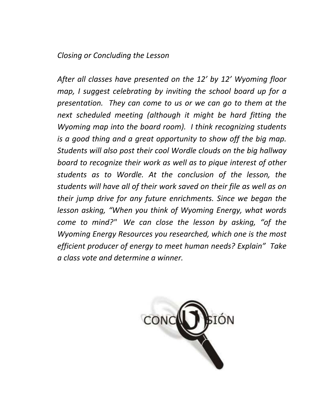# *Closing or Concluding the Lesson*

*After all classes have presented on the 12' by 12' Wyoming floor map, I suggest celebrating by inviting the school board up for a presentation. They can come to us or we can go to them at the next scheduled meeting (although it might be hard fitting the Wyoming map into the board room). I think recognizing students is a good thing and a great opportunity to show off the big map. Students will also post their cool Wordle clouds on the big hallway board to recognize their work as well as to pique interest of other students as to Wordle. At the conclusion of the lesson, the students will have all of their work saved on their file as well as on their jump drive for any future enrichments. Since we began the lesson asking, "When you think of Wyoming Energy, what words come to mind?" We can close the lesson by asking, "of the Wyoming Energy Resources you researched, which one is the most efficient producer of energy to meet human needs? Explain" Take a class vote and determine a winner.*

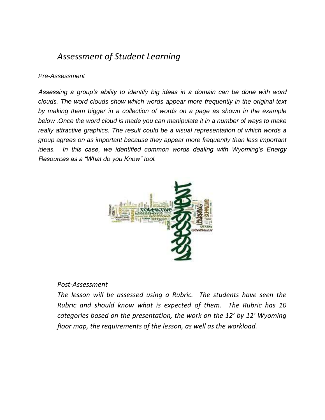# *Assessment of Student Learning*

## *Pre-Assessment*

*Assessing a group's ability to identify big ideas in a domain can be done with word clouds. The word clouds show which words appear more frequently in the original text by making them bigger in a collection of words on a page as shown in the example below .Once the word cloud is made you can manipulate it in a number of ways to make really attractive graphics. The result could be a visual representation of which words a group agrees on as important because they appear more frequently than less important ideas. In this case, we identified common words dealing with Wyoming's Energy Resources as a "What do you Know" tool.*



## *Post-Assessment*

*The lesson will be assessed using a Rubric. The students have seen the Rubric and should know what is expected of them. The Rubric has 10 categories based on the presentation, the work on the 12' by 12' Wyoming floor map, the requirements of the lesson, as well as the workload.*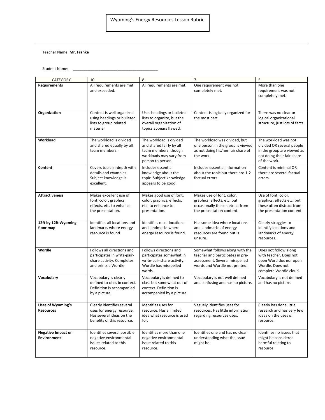#### Teacher Name: **Mr. Franke**

Student Name:

| <b>CATEGORY</b>                                 | 10                                                                                                                | 8                                                                                                                           | $\overline{7}$                                                                                                                         | 5                                                                                                                             |
|-------------------------------------------------|-------------------------------------------------------------------------------------------------------------------|-----------------------------------------------------------------------------------------------------------------------------|----------------------------------------------------------------------------------------------------------------------------------------|-------------------------------------------------------------------------------------------------------------------------------|
| <b>Requirements</b>                             | All requirements are met<br>and exceeded.                                                                         | All requirements are met.                                                                                                   | One requirement was not<br>completely met.                                                                                             | More than one<br>requirement was not<br>completely met.                                                                       |
| Organization                                    | Content is well organized<br>using headings or bulleted<br>lists to group related<br>material.                    | Uses headings or bulleted<br>lists to organize, but the<br>overall organization of<br>topics appears flawed.                | Content is logically organized for<br>the most part.                                                                                   | There was no clear or<br>logical organizational<br>structure, just lots of facts.                                             |
| Workload                                        | The workload is divided<br>and shared equally by all<br>team members.                                             | The workload is divided<br>and shared fairly by all<br>team members, though<br>workloads may vary from<br>person to person. | The workload was divided, but<br>one person in the group is viewed<br>as not doing his/her fair share of<br>the work.                  | The workload was not<br>divided OR several people<br>in the group are viewed as<br>not doing their fair share<br>of the work. |
| Content                                         | Covers topic in-depth with<br>details and examples.<br>Subject knowledge is<br>excellent.                         | Includes essential<br>knowledge about the<br>topic. Subject knowledge<br>appears to be good.                                | Includes essential information<br>about the topic but there are 1-2<br>factual errors.                                                 | Content is minimal OR<br>there are several factual<br>errors.                                                                 |
| <b>Attractiveness</b>                           | Makes excellent use of<br>font, color, graphics,<br>effects, etc. to enhance<br>the presentation.                 | Makes good use of font,<br>color, graphics, effects,<br>etc. to enhance to<br>presentation.                                 | Makes use of font, color,<br>graphics, effects, etc. but<br>occasionally these detract from<br>the presentation content.               | Use of font, color,<br>graphics, effects etc. but<br>these often distract from<br>the presentation content.                   |
| 12ft by 12ft Wyoming<br>floor map               | Identifies all locations and<br>landmarks where energy<br>resource is found.                                      | Identifies most locations<br>and landmarks where<br>energy resource is found.                                               | Has some idea where locations<br>and landmarks of energy<br>resources are found but is<br>unsure.                                      | Clearly struggles to<br>identify locations and<br>landmarks of energy<br>resources.                                           |
| Wordle                                          | Follows all directions and<br>participates in write-pair-<br>share activity. Completes<br>and prints a Wordle     | Follows directions and<br>participates somewhat in<br>write-pair-share activity.<br>Wordle has misspelled<br>words.         | Somewhat follows along with the<br>teacher and participates in pre-<br>assessment. Several misspelled<br>words and Wordle not printed. | Does not follow along<br>with teacher. Does not<br>open Word doc nor open<br>Wordle. Does not<br>complete Wordle cloud.       |
| Vocabulary                                      | Vocabulary is clearly<br>defined to class in context.<br>Definition is accompanied<br>by a picture.               | Vocabulary is defined to<br>class but somewhat out of<br>context. Definition is<br>accompanied by a picture.                | Vocabulary is not well defined<br>and confusing and has no picture.                                                                    | Vocabulary is not defined<br>and has no picture.                                                                              |
| <b>Uses of Wyoming's</b><br><b>Resources</b>    | Clearly identifies several<br>uses for energy resource.<br>Has several ideas on the<br>benefits of this resource. | Identifies uses for<br>resource. Has a limited<br>idea what resource is used<br>for.                                        | Vaguely identifies uses for<br>resources. Has little information<br>regarding resources uses.                                          | Clearly has done little<br>research and has very few<br>ideas on the uses of<br>resource.                                     |
| <b>Negative Impact on</b><br><b>Environment</b> | Identifies several possible<br>negative environmental<br>issues related to this<br>resource.                      | Identifies more than one<br>negative environmental<br>issue related to this<br>resource.                                    | Identifies one and has no clear<br>understanding what the issue<br>might be.                                                           | Identifies no issues that<br>might be considered<br>harmful relating to<br>resource.                                          |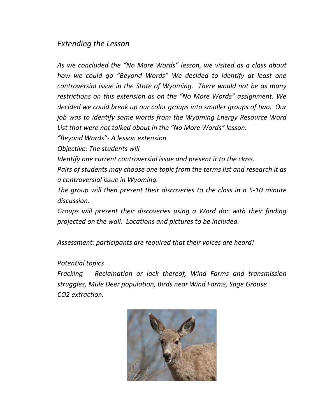# *Extending the Lesson*

*As we concluded the "No More Words" lesson, we visited as a class about how we could go "Beyond Words" We decided to identify at least one controversial issue in the State of Wyoming. There would not be as many restrictions on this extension as on the "No More Words" assignment. We decided we could break up our color groups into smaller groups of two. Our job was to identify some words from the Wyoming Energy Resource Word List that were not talked about in the "No More Words" lesson.* 

*"Beyond Words"- A lesson extension*

*Objective: The students will*

*Identify one current controversial issue and present it to the class.*

*Pairs of students may choose one topic from the terms list and research it as a controversial issue in Wyoming.*

*The group will then present their discoveries to the class in a 5-10 minute discussion.*

*Groups will present their discoveries using a Word doc with their finding projected on the wall. Locations and pictures to be included.*

*Assessment: participants are required that their voices are heard!*

## *Potential topics*

*Fracking Reclamation or lack thereof, Wind Farms and transmission struggles, Mule Deer population, Birds near Wind Farms, Sage Grouse CO2 extraction.*